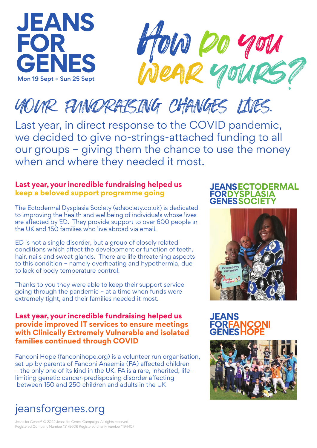



# YOUR FUNDRAISING CHANGES LIVES.

Last year, in direct response to the COVID pandemic, we decided to give no-strings-attached funding to all our groups – giving them the chance to use the money when and where they needed it most.

## **Last year, your incredible fundraising helped us keep a beloved support programme going**

The Ectodermal Dysplasia Society (edsociety.co.uk) is dedicated to improving the health and wellbeing of individuals whose lives are affected by ED. They provide support to over 600 people in the UK and 150 families who live abroad via email.

ED is not a single disorder, but a group of closely related conditions which affect the development or function of teeth, hair, nails and sweat glands. There are life threatening aspects to this condition – namely overheating and hypothermia, due to lack of body temperature control.

Thanks to you they were able to keep their support service going through the pandemic – at a time when funds were extremely tight, and their families needed it most.

### **Last year, your incredible fundraising helped us provide improved IT services to ensure meetings with Clinically Extremely Vulnerable and isolated families continued through COVID**

Fanconi Hope (fanconihope.org) is a volunteer run organisation, set up by parents of Fanconi Anaemia (FA) affected children – the only one of its kind in the UK. FA is a rare, inherited, lifelimiting genetic cancer-predisposing disorder affecting between 150 and 250 children and adults in the UK



# **JEANSECTODERMAL FORDYSPLASIA**



JEANS **FORFANCONI**